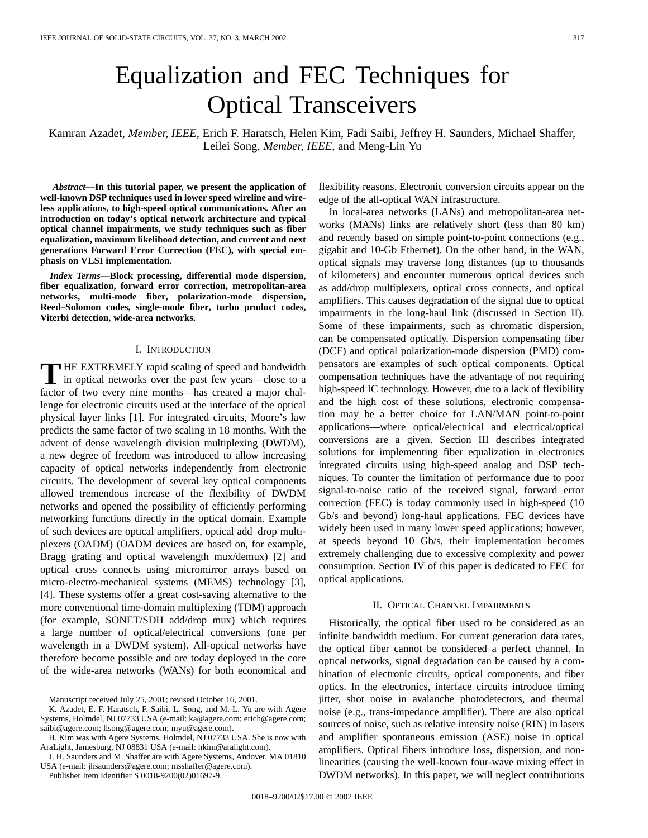# Equalization and FEC Techniques for Optical Transceivers

Kamran Azadet*, Member, IEEE*, Erich F. Haratsch, Helen Kim, Fadi Saibi, Jeffrey H. Saunders, Michael Shaffer, Leilei Song*, Member, IEEE*, and Meng-Lin Yu

*Abstract—***In this tutorial paper, we present the application of well-known DSP techniques used in lower speed wireline and wireless applications, to high-speed optical communications. After an introduction on today's optical network architecture and typical optical channel impairments, we study techniques such as fiber equalization, maximum likelihood detection, and current and next generations Forward Error Correction (FEC), with special emphasis on VLSI implementation.**

*Index Terms—***Block processing, differential mode dispersion, fiber equalization, forward error correction, metropolitan-area networks, multi-mode fiber, polarization-mode dispersion, Reed–Solomon codes, single-mode fiber, turbo product codes, Viterbi detection, wide-area networks.**

## I. INTRODUCTION

**T** HE EXTREMELY rapid scaling of speed and bandwidth in optical networks over the past few years—close to a feature of two summaring months a because of a major shall factor of two every nine months—has created a major challenge for electronic circuits used at the interface of the optical physical layer links [1]. For integrated circuits, Moore's law predicts the same factor of two scaling in 18 months. With the advent of dense wavelength division multiplexing (DWDM), a new degree of freedom was introduced to allow increasing capacity of optical networks independently from electronic circuits. The development of several key optical components allowed tremendous increase of the flexibility of DWDM networks and opened the possibility of efficiently performing networking functions directly in the optical domain. Example of such devices are optical amplifiers, optical add–drop multiplexers (OADM) (OADM devices are based on, for example, Bragg grating and optical wavelength mux/demux) [2] and optical cross connects using micromirror arrays based on micro-electro-mechanical systems (MEMS) technology [3], [4]. These systems offer a great cost-saving alternative to the more conventional time-domain multiplexing (TDM) approach (for example, SONET/SDH add/drop mux) which requires a large number of optical/electrical conversions (one per wavelength in a DWDM system). All-optical networks have therefore become possible and are today deployed in the core of the wide-area networks (WANs) for both economical and

Manuscript received July 25, 2001; revised October 16, 2001.

K. Azadet, E. F. Haratsch, F. Saibi, L. Song, and M.-L. Yu are with Agere Systems, Holmdel, NJ 07733 USA (e-mail: ka@agere.com; erich@agere.com; saibi@agere.com; llsong@agere.com; myu@agere.com).

H. Kim was with Agere Systems, Holmdel, NJ 07733 USA. She is now with AraLight, Jamesburg, NJ 08831 USA (e-mail: hkim@aralight.com).

J. H. Saunders and M. Shaffer are with Agere Systems, Andover, MA 01810 USA (e-mail: jhsaunders@agere.com; msshaffer@agere.com).

Publisher Item Identifier S 0018-9200(02)01697-9.

flexibility reasons. Electronic conversion circuits appear on the edge of the all-optical WAN infrastructure.

In local-area networks (LANs) and metropolitan-area networks (MANs) links are relatively short (less than 80 km) and recently based on simple point-to-point connections (e.g., gigabit and 10-Gb Ethernet). On the other hand, in the WAN, optical signals may traverse long distances (up to thousands of kilometers) and encounter numerous optical devices such as add/drop multiplexers, optical cross connects, and optical amplifiers. This causes degradation of the signal due to optical impairments in the long-haul link (discussed in Section II). Some of these impairments, such as chromatic dispersion, can be compensated optically. Dispersion compensating fiber (DCF) and optical polarization-mode dispersion (PMD) compensators are examples of such optical components. Optical compensation techniques have the advantage of not requiring high-speed IC technology. However, due to a lack of flexibility and the high cost of these solutions, electronic compensation may be a better choice for LAN/MAN point-to-point applications—where optical/electrical and electrical/optical conversions are a given. Section III describes integrated solutions for implementing fiber equalization in electronics integrated circuits using high-speed analog and DSP techniques. To counter the limitation of performance due to poor signal-to-noise ratio of the received signal, forward error correction (FEC) is today commonly used in high-speed (10 Gb/s and beyond) long-haul applications. FEC devices have widely been used in many lower speed applications; however, at speeds beyond 10 Gb/s, their implementation becomes extremely challenging due to excessive complexity and power consumption. Section IV of this paper is dedicated to FEC for optical applications.

#### II. OPTICAL CHANNEL IMPAIRMENTS

Historically, the optical fiber used to be considered as an infinite bandwidth medium. For current generation data rates, the optical fiber cannot be considered a perfect channel. In optical networks, signal degradation can be caused by a combination of electronic circuits, optical components, and fiber optics. In the electronics, interface circuits introduce timing jitter, shot noise in avalanche photodetectors, and thermal noise (e.g., trans-impedance amplifier). There are also optical sources of noise, such as relative intensity noise (RIN) in lasers and amplifier spontaneous emission (ASE) noise in optical amplifiers. Optical fibers introduce loss, dispersion, and nonlinearities (causing the well-known four-wave mixing effect in DWDM networks). In this paper, we will neglect contributions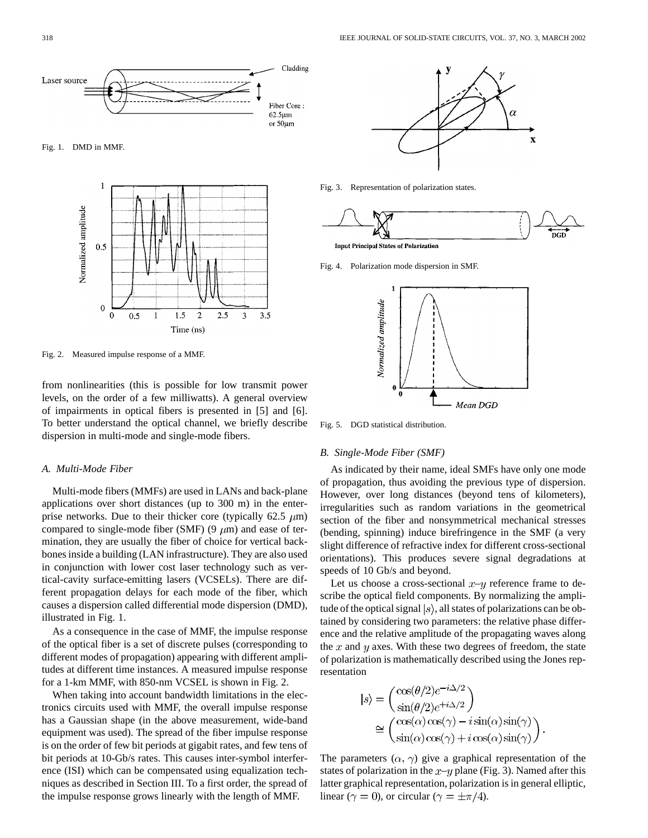

Fig. 1. DMD in MMF.



Fig. 2. Measured impulse response of a MMF.

from nonlinearities (this is possible for low transmit power levels, on the order of a few milliwatts). A general overview of impairments in optical fibers is presented in [5] and [6]. To better understand the optical channel, we briefly describe dispersion in multi-mode and single-mode fibers.

#### *A. Multi-Mode Fiber*

Multi-mode fibers (MMFs) are used in LANs and back-plane applications over short distances (up to 300 m) in the enterprise networks. Due to their thicker core (typically 62.5  $\mu$ m) compared to single-mode fiber (SMF) (9  $\mu$ m) and ease of termination, they are usually the fiber of choice for vertical backbones inside a building (LAN infrastructure). They are also used in conjunction with lower cost laser technology such as vertical-cavity surface-emitting lasers (VCSELs). There are different propagation delays for each mode of the fiber, which causes a dispersion called differential mode dispersion (DMD), illustrated in Fig. 1.

As a consequence in the case of MMF, the impulse response of the optical fiber is a set of discrete pulses (corresponding to different modes of propagation) appearing with different amplitudes at different time instances. A measured impulse response for a 1-km MMF, with 850-nm VCSEL is shown in Fig. 2.

When taking into account bandwidth limitations in the electronics circuits used with MMF, the overall impulse response has a Gaussian shape (in the above measurement, wide-band equipment was used). The spread of the fiber impulse response is on the order of few bit periods at gigabit rates, and few tens of bit periods at 10-Gb/s rates. This causes inter-symbol interference (ISI) which can be compensated using equalization techniques as described in Section III. To a first order, the spread of the impulse response grows linearly with the length of MMF.



Fig. 3. Representation of polarization states.



**Input Principal States of Polarization** 

Fig. 4. Polarization mode dispersion in SMF.



Fig. 5. DGD statistical distribution.

## *B. Single-Mode Fiber (SMF)*

As indicated by their name, ideal SMFs have only one mode of propagation, thus avoiding the previous type of dispersion. However, over long distances (beyond tens of kilometers), irregularities such as random variations in the geometrical section of the fiber and nonsymmetrical mechanical stresses (bending, spinning) induce birefringence in the SMF (a very slight difference of refractive index for different cross-sectional orientations). This produces severe signal degradations at speeds of 10 Gb/s and beyond.

Let us choose a cross-sectional  $x-y$  reference frame to describe the optical field components. By normalizing the amplitude of the optical signal  $|s\rangle$ , all states of polarizations can be obtained by considering two parameters: the relative phase difference and the relative amplitude of the propagating waves along the  $x$  and  $y$  axes. With these two degrees of freedom, the state of polarization is mathematically described using the Jones representation

$$
|s\rangle = \begin{pmatrix} \cos(\theta/2)e^{-i\Delta/2} \\ \sin(\theta/2)e^{+i\Delta/2} \end{pmatrix}
$$
  
 
$$
\approx \begin{pmatrix} \cos(\alpha)\cos(\gamma) - i\sin(\alpha)\sin(\gamma) \\ \sin(\alpha)\cos(\gamma) + i\cos(\alpha)\sin(\gamma) \end{pmatrix}
$$

The parameters  $(\alpha, \gamma)$  give a graphical representation of the states of polarization in the  $x-y$  plane (Fig. 3). Named after this latter graphical representation, polarization is in general elliptic, linear ( $\gamma = 0$ ), or circular ( $\gamma = \pm \pi/4$ ).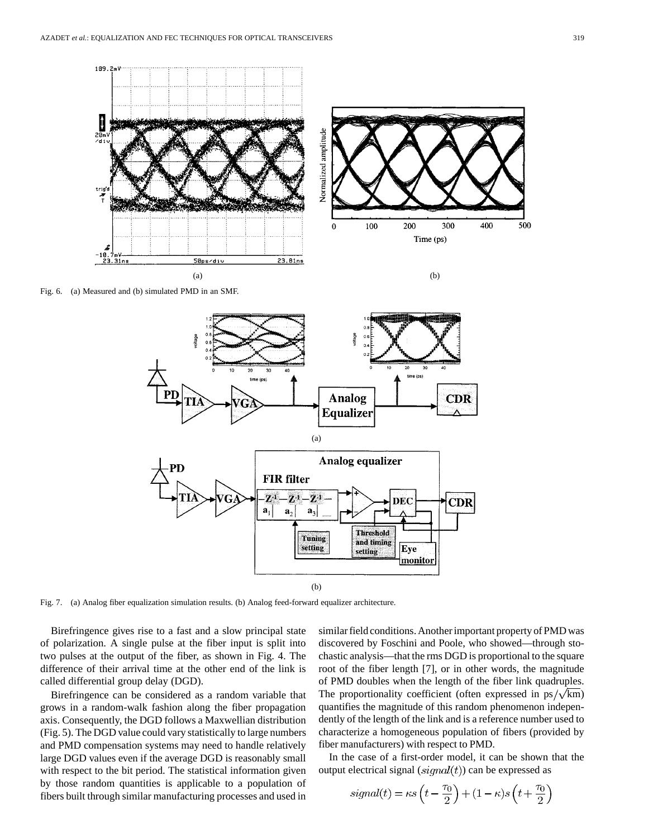

Fig. 6. (a) Measured and (b) simulated PMD in an SMF.



Fig. 7. (a) Analog fiber equalization simulation results. (b) Analog feed-forward equalizer architecture.

Birefringence gives rise to a fast and a slow principal state of polarization. A single pulse at the fiber input is split into two pulses at the output of the fiber, as shown in Fig. 4. The difference of their arrival time at the other end of the link is called differential group delay (DGD).

Birefringence can be considered as a random variable that grows in a random-walk fashion along the fiber propagation axis. Consequently, the DGD follows a Maxwellian distribution (Fig. 5). The DGD value could vary statistically to large numbers and PMD compensation systems may need to handle relatively large DGD values even if the average DGD is reasonably small with respect to the bit period. The statistical information given by those random quantities is applicable to a population of fibers built through similar manufacturing processes and used in similar field conditions. Another important property of PMD was discovered by Foschini and Poole, who showed—through stochastic analysis—that the rms DGD is proportional to the square root of the fiber length [7], or in other words, the magnitude of PMD doubles when the length of the fiber link quadruples. The proportionality coefficient (often expressed in  $ps/\sqrt{km}$ ) quantifies the magnitude of this random phenomenon independently of the length of the link and is a reference number used to characterize a homogeneous population of fibers (provided by fiber manufacturers) with respect to PMD.

In the case of a first-order model, it can be shown that the output electrical signal  $(signal(t))$  can be expressed as

$$
signal(t) = \kappa s \left( t - \frac{\tau_0}{2} \right) + (1 - \kappa)s \left( t + \frac{\tau_0}{2} \right)
$$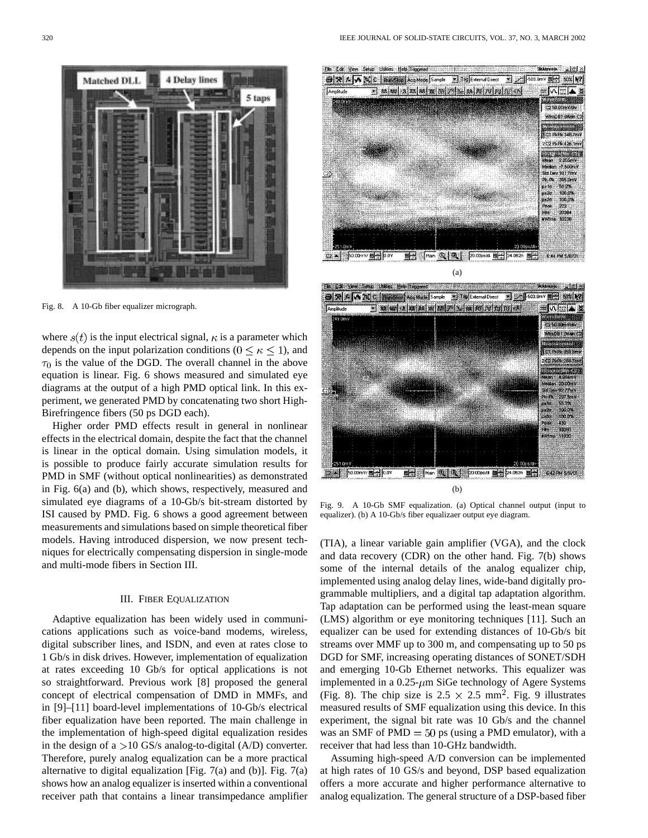

Fig. 8. A 10-Gb fiber equalizer micrograph.

where  $s(t)$  is the input electrical signal,  $\kappa$  is a parameter which depends on the input polarization conditions ( $0 \le \kappa \le 1$ ), and  $\tau_0$  is the value of the DGD. The overall channel in the above equation is linear. Fig. 6 shows measured and simulated eye diagrams at the output of a high PMD optical link. In this experiment, we generated PMD by concatenating two short High-Birefringence fibers (50 ps DGD each).

Higher order PMD effects result in general in nonlinear effects in the electrical domain, despite the fact that the channel is linear in the optical domain. Using simulation models, it is possible to produce fairly accurate simulation results for PMD in SMF (without optical nonlinearities) as demonstrated in Fig. 6(a) and (b), which shows, respectively, measured and simulated eye diagrams of a 10-Gb/s bit-stream distorted by ISI caused by PMD. Fig. 6 shows a good agreement between measurements and simulations based on simple theoretical fiber models. Having introduced dispersion, we now present techniques for electrically compensating dispersion in single-mode and multi-mode fibers in Section III.

## III. FIBER EQUALIZATION

Adaptive equalization has been widely used in communications applications such as voice-band modems, wireless, digital subscriber lines, and ISDN, and even at rates close to 1 Gb/s in disk drives. However, implementation of equalization at rates exceeding 10 Gb/s for optical applications is not so straightforward. Previous work [8] proposed the general concept of electrical compensation of DMD in MMFs, and in [9]–[11] board-level implementations of 10-Gb/s electrical fiber equalization have been reported. The main challenge in the implementation of high-speed digital equalization resides in the design of a  $>10$  GS/s analog-to-digital (A/D) converter. Therefore, purely analog equalization can be a more practical alternative to digital equalization [Fig.  $7(a)$  and (b)]. Fig.  $7(a)$ shows how an analog equalizer is inserted within a conventional receiver path that contains a linear transimpedance amplifier





Fig. 9. A 10-Gb SMF equalization. (a) Optical channel output (input to equalizer). (b) A 10-Gb/s fiber equalizaer output eye diagram.

(TIA), a linear variable gain amplifier (VGA), and the clock and data recovery (CDR) on the other hand. Fig. 7(b) shows some of the internal details of the analog equalizer chip, implemented using analog delay lines, wide-band digitally programmable multipliers, and a digital tap adaptation algorithm. Tap adaptation can be performed using the least-mean square (LMS) algorithm or eye monitoring techniques [11]. Such an equalizer can be used for extending distances of 10-Gb/s bit streams over MMF up to 300 m, and compensating up to 50 ps DGD for SMF, increasing operating distances of SONET/SDH and emerging 10-Gb Ethernet networks. This equalizer was implemented in a  $0.25 - \mu m$  SiGe technology of Agere Systems (Fig. 8). The chip size is  $2.5 \times 2.5$  mm<sup>2</sup>. Fig. 9 illustrates measured results of SMF equalization using this device. In this experiment, the signal bit rate was 10 Gb/s and the channel was an SMF of PMD  $=$  50 ps (using a PMD emulator), with a receiver that had less than 10-GHz bandwidth.

Assuming high-speed A/D conversion can be implemented at high rates of 10 GS/s and beyond, DSP based equalization offers a more accurate and higher performance alternative to analog equalization. The general structure of a DSP-based fiber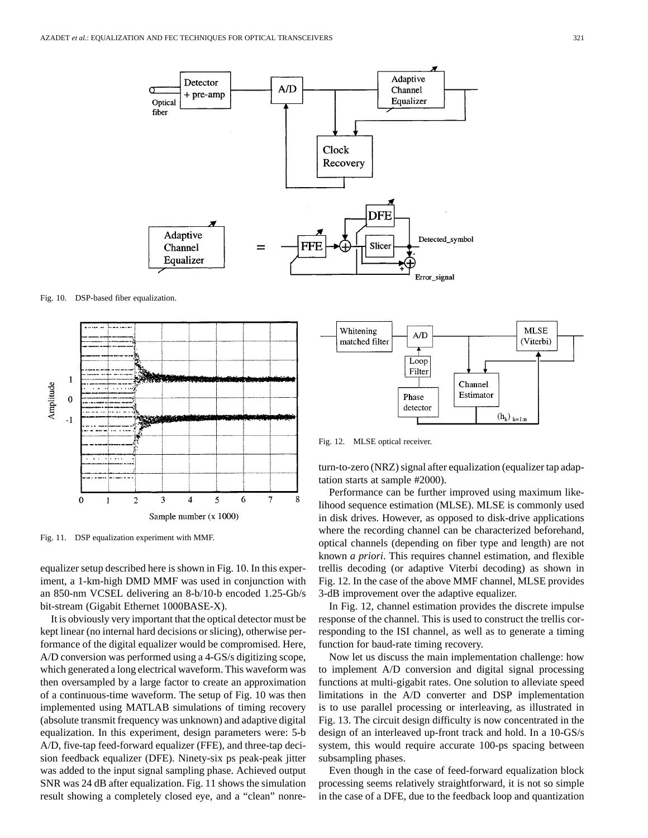

Fig. 10. DSP-based fiber equalization.



Fig. 11. DSP equalization experiment with MMF.

equalizer setup described here is shown in Fig. 10. In this experiment, a 1-km-high DMD MMF was used in conjunction with an 850-nm VCSEL delivering an 8-b/10-b encoded 1.25-Gb/s bit-stream (Gigabit Ethernet 1000BASE-X).

It is obviously very important that the optical detector must be kept linear (no internal hard decisions or slicing), otherwise performance of the digital equalizer would be compromised. Here, A/D conversion was performed using a 4-GS/s digitizing scope, which generated a long electrical waveform. This waveform was then oversampled by a large factor to create an approximation of a continuous-time waveform. The setup of Fig. 10 was then implemented using MATLAB simulations of timing recovery (absolute transmit frequency was unknown) and adaptive digital equalization. In this experiment, design parameters were: 5-b A/D, five-tap feed-forward equalizer (FFE), and three-tap decision feedback equalizer (DFE). Ninety-six ps peak-peak jitter was added to the input signal sampling phase. Achieved output SNR was 24 dB after equalization. Fig. 11 shows the simulation result showing a completely closed eye, and a "clean" nonre-



Fig. 12. MLSE optical receiver.

turn-to-zero (NRZ) signal after equalization (equalizer tap adaptation starts at sample #2000).

Performance can be further improved using maximum likelihood sequence estimation (MLSE). MLSE is commonly used in disk drives. However, as opposed to disk-drive applications where the recording channel can be characterized beforehand, optical channels (depending on fiber type and length) are not known *a priori*. This requires channel estimation, and flexible trellis decoding (or adaptive Viterbi decoding) as shown in Fig. 12. In the case of the above MMF channel, MLSE provides 3-dB improvement over the adaptive equalizer.

In Fig. 12, channel estimation provides the discrete impulse response of the channel. This is used to construct the trellis corresponding to the ISI channel, as well as to generate a timing function for baud-rate timing recovery.

Now let us discuss the main implementation challenge: how to implement A/D conversion and digital signal processing functions at multi-gigabit rates. One solution to alleviate speed limitations in the A/D converter and DSP implementation is to use parallel processing or interleaving, as illustrated in Fig. 13. The circuit design difficulty is now concentrated in the design of an interleaved up-front track and hold. In a 10-GS/s system, this would require accurate 100-ps spacing between subsampling phases.

Even though in the case of feed-forward equalization block processing seems relatively straightforward, it is not so simple in the case of a DFE, due to the feedback loop and quantization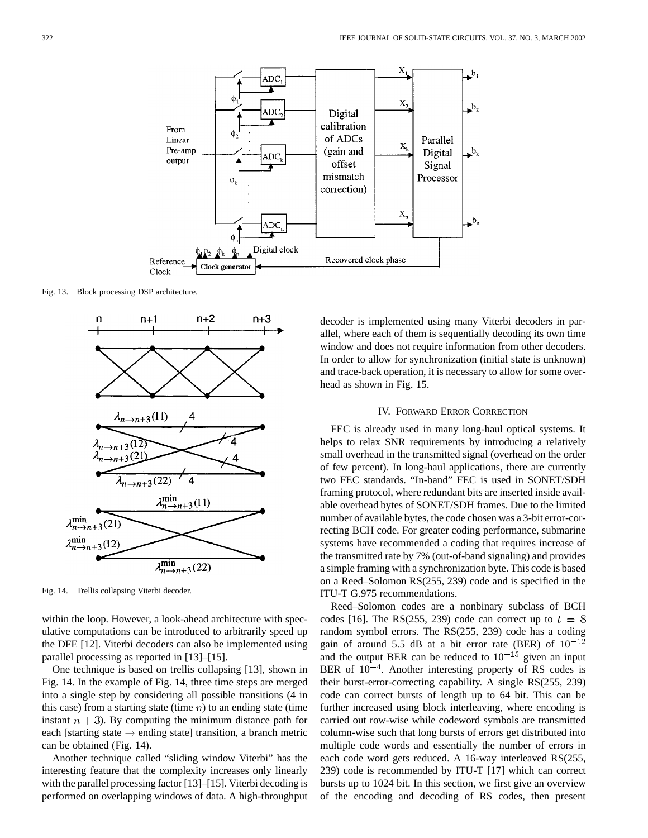

Fig. 13. Block processing DSP architecture.



Fig. 14. Trellis collapsing Viterbi decoder.

within the loop. However, a look-ahead architecture with speculative computations can be introduced to arbitrarily speed up the DFE [12]. Viterbi decoders can also be implemented using parallel processing as reported in [13]–[15].

One technique is based on trellis collapsing [13], shown in Fig. 14. In the example of Fig. 14, three time steps are merged into a single step by considering all possible transitions (4 in this case) from a starting state (time  $n$ ) to an ending state (time instant  $n + 3$ ). By computing the minimum distance path for each [starting state  $\rightarrow$  ending state] transition, a branch metric can be obtained (Fig. 14).

Another technique called "sliding window Viterbi" has the interesting feature that the complexity increases only linearly with the parallel processing factor [13]–[15]. Viterbi decoding is performed on overlapping windows of data. A high-throughput decoder is implemented using many Viterbi decoders in parallel, where each of them is sequentially decoding its own time window and does not require information from other decoders. In order to allow for synchronization (initial state is unknown) and trace-back operation, it is necessary to allow for some overhead as shown in Fig. 15.

## IV. FORWARD ERROR CORRECTION

FEC is already used in many long-haul optical systems. It helps to relax SNR requirements by introducing a relatively small overhead in the transmitted signal (overhead on the order of few percent). In long-haul applications, there are currently two FEC standards. "In-band" FEC is used in SONET/SDH framing protocol, where redundant bits are inserted inside available overhead bytes of SONET/SDH frames. Due to the limited number of available bytes, the code chosen was a 3-bit error-correcting BCH code. For greater coding performance, submarine systems have recommended a coding that requires increase of the transmitted rate by 7% (out-of-band signaling) and provides a simple framing with a synchronization byte. This code is based on a Reed–Solomon RS(255, 239) code and is specified in the ITU-T G.975 recommendations.

Reed–Solomon codes are a nonbinary subclass of BCH codes [16]. The RS(255, 239) code can correct up to  $t = 8$ random symbol errors. The RS(255, 239) code has a coding gain of around 5.5 dB at a bit error rate (BER) of  $10^{-12}$ and the output BER can be reduced to  $10^{-15}$  given an input BER of  $10^{-4}$ . Another interesting property of RS codes is their burst-error-correcting capability. A single RS(255, 239) code can correct bursts of length up to 64 bit. This can be further increased using block interleaving, where encoding is carried out row-wise while codeword symbols are transmitted column-wise such that long bursts of errors get distributed into multiple code words and essentially the number of errors in each code word gets reduced. A 16-way interleaved RS(255, 239) code is recommended by ITU-T [17] which can correct bursts up to 1024 bit. In this section, we first give an overview of the encoding and decoding of RS codes, then present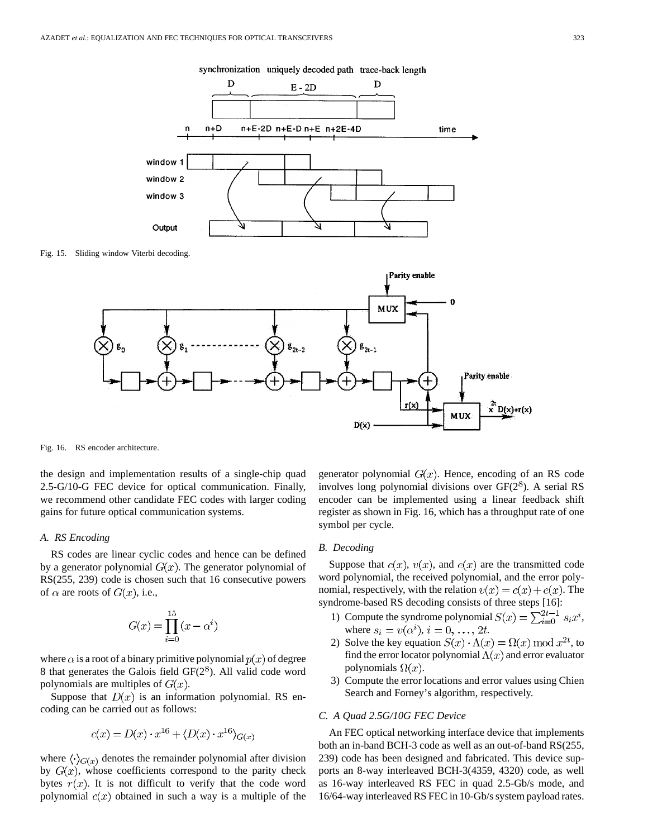

Fig. 15. Sliding window Viterbi decoding.



Fig. 16. RS encoder architecture.

the design and implementation results of a single-chip quad 2.5-G/10-G FEC device for optical communication. Finally, we recommend other candidate FEC codes with larger coding gains for future optical communication systems.

#### *A. RS Encoding*

RS codes are linear cyclic codes and hence can be defined by a generator polynomial  $G(x)$ . The generator polynomial of RS(255, 239) code is chosen such that 16 consecutive powers of  $\alpha$  are roots of  $G(x)$ , i.e.,

$$
G(x) = \prod_{i=0}^{15} (x - \alpha^i)
$$

where  $\alpha$  is a root of a binary primitive polynomial  $p(x)$  of degree 8 that generates the Galois field  $GF(2<sup>8</sup>)$ . All valid code word polynomials are multiples of  $G(x)$ .

Suppose that  $D(x)$  is an information polynomial. RS encoding can be carried out as follows:

$$
c(x) = D(x) \cdot x^{16} + \langle D(x) \cdot x^{16} \rangle_{G(x)}
$$

where  $\langle \cdot \rangle_{G(x)}$  denotes the remainder polynomial after division by  $G(x)$ , whose coefficients correspond to the parity check bytes  $r(x)$ . It is not difficult to verify that the code word polynomial  $c(x)$  obtained in such a way is a multiple of the

generator polynomial  $G(x)$ . Hence, encoding of an RS code involves long polynomial divisions over  $GF(2<sup>8</sup>)$ . A serial RS encoder can be implemented using a linear feedback shift register as shown in Fig. 16, which has a throughput rate of one symbol per cycle.

## *B. Decoding*

Suppose that  $c(x)$ ,  $v(x)$ , and  $e(x)$  are the transmitted code word polynomial, the received polynomial, and the error polynomial, respectively, with the relation  $v(x) = c(x) + e(x)$ . The syndrome-based RS decoding consists of three steps [16]:

- 1) Compute the syndrome polynomial  $S(x) = \sum_{i=0}^{2t-1} s_i x^i$ , where  $s_i = v(\alpha^i), i = 0, \ldots, 2t$ .
- 2) Solve the key equation  $S(x) \cdot \Lambda(x) = \Omega(x) \bmod x^{2t}$ , to find the error locator polynomial  $\Lambda(x)$  and error evaluator polynomials  $\Omega(x)$ .
- 3) Compute the error locations and error values using Chien Search and Forney's algorithm, respectively.

#### *C. A Quad 2.5G/10G FEC Device*

An FEC optical networking interface device that implements both an in-band BCH-3 code as well as an out-of-band RS(255, 239) code has been designed and fabricated. This device supports an 8-way interleaved BCH-3(4359, 4320) code, as well as 16-way interleaved RS FEC in quad 2.5-Gb/s mode, and 16/64-way interleaved RS FEC in 10-Gb/s system payload rates.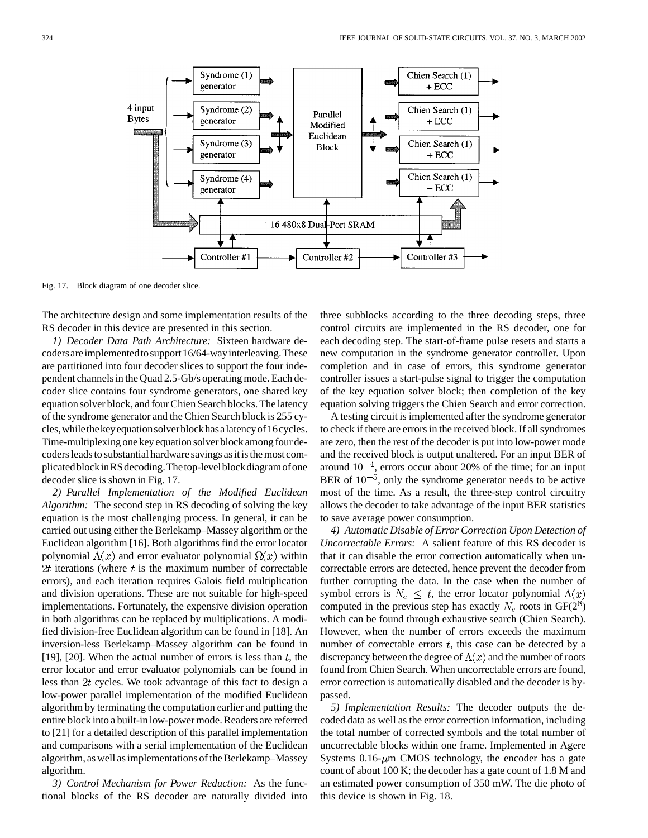

Fig. 17. Block diagram of one decoder slice.

The architecture design and some implementation results of the RS decoder in this device are presented in this section.

*1) Decoder Data Path Architecture:* Sixteen hardware decodersareimplementedtosupport16/64-wayinterleaving.These are partitioned into four decoder slices to support the four independent channels in the Quad 2.5-Gb/s operating mode. Each decoder slice contains four syndrome generators, one shared key equation solver block, and four Chien Search blocks. The latency of the syndrome generator and the Chien Search block is 255 cycles,whilethekeyequationsolverblockhasalatencyof16cycles. Time-multiplexing one key equation solver block among four decoders leads to substantial hardware savings as it is the most complicatedblockinRSdecoding.Thetop-levelblockdiagramofone decoder slice is shown in Fig. 17.

*2) Parallel Implementation of the Modified Euclidean Algorithm:* The second step in RS decoding of solving the key equation is the most challenging process. In general, it can be carried out using either the Berlekamp–Massey algorithm or the Euclidean algorithm [16]. Both algorithms find the error locator polynomial  $\Lambda(x)$  and error evaluator polynomial  $\Omega(x)$  within 2t iterations (where  $t$  is the maximum number of correctable errors), and each iteration requires Galois field multiplication and division operations. These are not suitable for high-speed implementations. Fortunately, the expensive division operation in both algorithms can be replaced by multiplications. A modified division-free Euclidean algorithm can be found in [18]. An inversion-less Berlekamp–Massey algorithm can be found in [19], [20]. When the actual number of errors is less than  $t$ , the error locator and error evaluator polynomials can be found in less than  $2t$  cycles. We took advantage of this fact to design a low-power parallel implementation of the modified Euclidean algorithm by terminating the computation earlier and putting the entire block into a built-in low-power mode. Readers are referred to [21] for a detailed description of this parallel implementation and comparisons with a serial implementation of the Euclidean algorithm, as well as implementations of the Berlekamp–Massey algorithm.

*3) Control Mechanism for Power Reduction:* As the functional blocks of the RS decoder are naturally divided into three subblocks according to the three decoding steps, three control circuits are implemented in the RS decoder, one for each decoding step. The start-of-frame pulse resets and starts a new computation in the syndrome generator controller. Upon completion and in case of errors, this syndrome generator controller issues a start-pulse signal to trigger the computation of the key equation solver block; then completion of the key equation solving triggers the Chien Search and error correction.

A testing circuit is implemented after the syndrome generator to check if there are errors in the received block. If all syndromes are zero, then the rest of the decoder is put into low-power mode and the received block is output unaltered. For an input BER of around  $10^{-4}$ , errors occur about 20% of the time; for an input BER of  $10^{-5}$ , only the syndrome generator needs to be active most of the time. As a result, the three-step control circuitry allows the decoder to take advantage of the input BER statistics to save average power consumption.

*4) Automatic Disable of Error Correction Upon Detection of Uncorrectable Errors:* A salient feature of this RS decoder is that it can disable the error correction automatically when uncorrectable errors are detected, hence prevent the decoder from further corrupting the data. In the case when the number of symbol errors is  $N_e \leq t$ , the error locator polynomial  $\Lambda(x)$ computed in the previous step has exactly  $N_e$  roots in  $GF(2^8)$ which can be found through exhaustive search (Chien Search). However, when the number of errors exceeds the maximum number of correctable errors  $t$ , this case can be detected by a discrepancy between the degree of  $\Lambda(x)$  and the number of roots found from Chien Search. When uncorrectable errors are found, error correction is automatically disabled and the decoder is bypassed.

*5) Implementation Results:* The decoder outputs the decoded data as well as the error correction information, including the total number of corrected symbols and the total number of uncorrectable blocks within one frame. Implemented in Agere Systems  $0.16 - \mu m$  CMOS technology, the encoder has a gate count of about 100 K; the decoder has a gate count of 1.8 M and an estimated power consumption of 350 mW. The die photo of this device is shown in Fig. 18.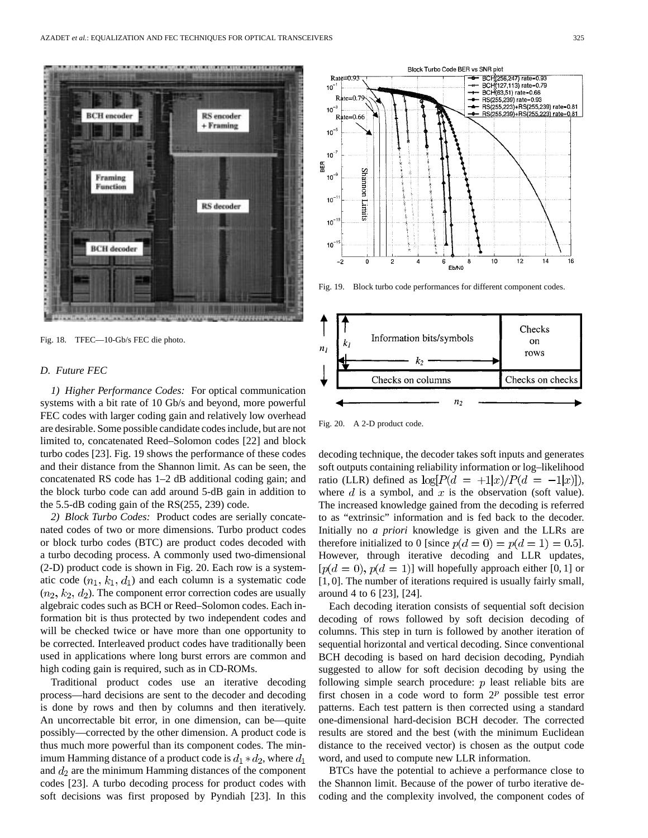

Fig. 18. TFEC—10-Gb/s FEC die photo.

## *D. Future FEC*

*1) Higher Performance Codes:* For optical communication systems with a bit rate of 10 Gb/s and beyond, more powerful FEC codes with larger coding gain and relatively low overhead are desirable. Some possible candidate codes include, but are not limited to, concatenated Reed–Solomon codes [22] and block turbo codes [23]. Fig. 19 shows the performance of these codes and their distance from the Shannon limit. As can be seen, the concatenated RS code has 1–2 dB additional coding gain; and the block turbo code can add around 5-dB gain in addition to the 5.5-dB coding gain of the RS(255, 239) code.

*2) Block Turbo Codes:* Product codes are serially concatenated codes of two or more dimensions. Turbo product codes or block turbo codes (BTC) are product codes decoded with a turbo decoding process. A commonly used two-dimensional (2-D) product code is shown in Fig. 20. Each row is a systematic code  $(n_1, k_1, d_1)$  and each column is a systematic code  $(n_2, k_2, d_2)$ . The component error correction codes are usually algebraic codes such as BCH or Reed–Solomon codes. Each information bit is thus protected by two independent codes and will be checked twice or have more than one opportunity to be corrected. Interleaved product codes have traditionally been used in applications where long burst errors are common and high coding gain is required, such as in CD-ROMs.

Traditional product codes use an iterative decoding process—hard decisions are sent to the decoder and decoding is done by rows and then by columns and then iteratively. An uncorrectable bit error, in one dimension, can be—quite possibly—corrected by the other dimension. A product code is thus much more powerful than its component codes. The minimum Hamming distance of a product code is  $d_1 * d_2$ , where  $d_1$ and  $d_2$  are the minimum Hamming distances of the component codes [23]. A turbo decoding process for product codes with soft decisions was first proposed by Pyndiah [23]. In this



Fig. 19. Block turbo code performances for different component codes.



Fig. 20. A 2-D product code.

decoding technique, the decoder takes soft inputs and generates soft outputs containing reliability information or log–likelihood ratio (LLR) defined as  $\log[P(d = +1|x)/P(d = -1|x)]$ ), where  $d$  is a symbol, and  $x$  is the observation (soft value). The increased knowledge gained from the decoding is referred to as "extrinsic" information and is fed back to the decoder. Initially no *a priori* knowledge is given and the LLRs are therefore initialized to 0 [since  $p(d = 0) = p(d = 1) = 0.5$ ]. However, through iterative decoding and LLR updates,  $[p(d = 0), p(d = 1)]$  will hopefully approach either [0, 1] or [1, 0]. The number of iterations required is usually fairly small, around 4 to 6 [23], [24].

Each decoding iteration consists of sequential soft decision decoding of rows followed by soft decision decoding of columns. This step in turn is followed by another iteration of sequential horizontal and vertical decoding. Since conventional BCH decoding is based on hard decision decoding, Pyndiah suggested to allow for soft decision decoding by using the following simple search procedure:  $p$  least reliable bits are first chosen in a code word to form  $2^p$  possible test error patterns. Each test pattern is then corrected using a standard one-dimensional hard-decision BCH decoder. The corrected results are stored and the best (with the minimum Euclidean distance to the received vector) is chosen as the output code word, and used to compute new LLR information.

BTCs have the potential to achieve a performance close to the Shannon limit. Because of the power of turbo iterative decoding and the complexity involved, the component codes of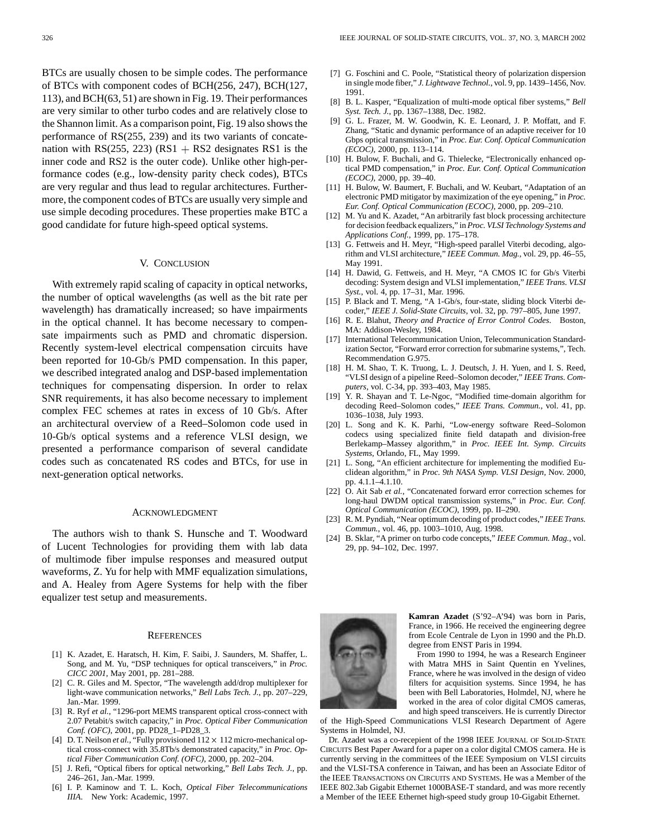BTCs are usually chosen to be simple codes. The performance of BTCs with component codes of BCH(256, 247), BCH(127, 113), and BCH(63, 51) are shown in Fig. 19. Their performances are very similar to other turbo codes and are relatively close to the Shannon limit. As a comparison point, Fig. 19 also shows the performance of RS(255, 239) and its two variants of concatenation with RS(255, 223) (RS1 + RS2 designates RS1 is the inner code and RS2 is the outer code). Unlike other high-performance codes (e.g., low-density parity check codes), BTCs are very regular and thus lead to regular architectures. Furthermore, the component codes of BTCs are usually very simple and use simple decoding procedures. These properties make BTC a good candidate for future high-speed optical systems.

## V. CONCLUSION

With extremely rapid scaling of capacity in optical networks, the number of optical wavelengths (as well as the bit rate per wavelength) has dramatically increased; so have impairments in the optical channel. It has become necessary to compensate impairments such as PMD and chromatic dispersion. Recently system-level electrical compensation circuits have been reported for 10-Gb/s PMD compensation. In this paper, we described integrated analog and DSP-based implementation techniques for compensating dispersion. In order to relax SNR requirements, it has also become necessary to implement complex FEC schemes at rates in excess of 10 Gb/s. After an architectural overview of a Reed–Solomon code used in 10-Gb/s optical systems and a reference VLSI design, we presented a performance comparison of several candidate codes such as concatenated RS codes and BTCs, for use in next-generation optical networks.

#### ACKNOWLEDGMENT

The authors wish to thank S. Hunsche and T. Woodward of Lucent Technologies for providing them with lab data of multimode fiber impulse responses and measured output waveforms, Z. Yu for help with MMF equalization simulations, and A. Healey from Agere Systems for help with the fiber equalizer test setup and measurements.

#### **REFERENCES**

- [1] K. Azadet, E. Haratsch, H. Kim, F. Saibi, J. Saunders, M. Shaffer, L. Song, and M. Yu, "DSP techniques for optical transceivers," in *Proc. CICC 2001*, May 2001, pp. 281–288.
- [2] C. R. Giles and M. Spector, "The wavelength add/drop multiplexer for light-wave communication networks," *Bell Labs Tech. J.*, pp. 207–229, Jan.-Mar. 1999.
- [3] R. Ryf et al., "1296-port MEMS transparent optical cross-connect with 2.07 Petabit/s switch capacity," in *Proc. Optical Fiber Communication Conf. (OFC)*, 2001, pp. PD28\_1–PD28\_3.
- [4] D. T. Neilson *et al.*, "Fully provisioned  $112 \times 112$  micro-mechanical optical cross-connect with 35.8Tb/s demonstrated capacity," in *Proc. Optical Fiber Communication Conf. (OFC)*, 2000, pp. 202–204.
- [5] J. Refi, "Optical fibers for optical networking," *Bell Labs Tech. J.*, pp. 246–261, Jan.-Mar. 1999.
- [6] I. P. Kaminow and T. L. Koch, *Optical Fiber Telecommunications IIIA*. New York: Academic, 1997.
- [7] G. Foschini and C. Poole, "Statistical theory of polarization dispersion in single mode fiber," *J. Lightwave Technol.*, vol. 9, pp. 1439–1456, Nov. 1991.
- [8] B. L. Kasper, "Equalization of multi-mode optical fiber systems," *Bell Syst. Tech. J.*, pp. 1367–1388, Dec. 1982.
- [9] G. L. Frazer, M. W. Goodwin, K. E. Leonard, J. P. Moffatt, and F. Zhang, "Static and dynamic performance of an adaptive receiver for 10 Gbps optical transmission," in *Proc. Eur. Conf. Optical Communication (ECOC)*, 2000, pp. 113–114.
- [10] H. Bulow, F. Buchali, and G. Thielecke, "Electronically enhanced optical PMD compensation," in *Proc. Eur. Conf. Optical Communication (ECOC)*, 2000, pp. 39–40.
- [11] H. Bulow, W. Baumert, F. Buchali, and W. Keubart, "Adaptation of an electronic PMD mitigator by maximization of the eye opening," in *Proc. Eur. Conf. Optical Communication (ECOC)*, 2000, pp. 209–210.
- [12] M. Yu and K. Azadet, "An arbitrarily fast block processing architecture for decision feedback equalizers," in *Proc. VLSI Technology Systems and Applications Conf.*, 1999, pp. 175–178.
- [13] G. Fettweis and H. Meyr, "High-speed parallel Viterbi decoding, algorithm and VLSI architecture," *IEEE Commun. Mag.*, vol. 29, pp. 46–55, May 1991.
- [14] H. Dawid, G. Fettweis, and H. Meyr, "A CMOS IC for Gb/s Viterbi decoding: System design and VLSI implementation," *IEEE Trans. VLSI Syst.*, vol. 4, pp. 17–31, Mar. 1996.
- [15] P. Black and T. Meng, "A 1-Gb/s, four-state, sliding block Viterbi decoder," *IEEE J. Solid-State Circuits*, vol. 32, pp. 797–805, June 1997.
- [16] R. E. Blahut, *Theory and Practice of Error Control Codes*. Boston, MA: Addison-Wesley, 1984.
- [17] International Telecommunication Union, Telecommunication Standardization Sector, "Forward error correction for submarine systems,", Tech. Recommendation G.975.
- [18] H. M. Shao, T. K. Truong, L. J. Deutsch, J. H. Yuen, and I. S. Reed, "VLSI design of a pipeline Reed–Solomon decoder," *IEEE Trans. Computers*, vol. C-34, pp. 393–403, May 1985.
- [19] Y. R. Shayan and T. Le-Ngoc, "Modified time-domain algorithm for decoding Reed–Solomon codes," *IEEE Trans. Commun.*, vol. 41, pp. 1036–1038, July 1993.
- [20] L. Song and K. K. Parhi, "Low-energy software Reed–Solomon codecs using specialized finite field datapath and division-free Berlekamp–Massey algorithm," in *Proc. IEEE Int. Symp. Circuits Systems*, Orlando, FL, May 1999.
- [21] L. Song, "An efficient architecture for implementing the modified Euclidean algorithm," in *Proc. 9th NASA Symp. VLSI Design*, Nov. 2000, pp. 4.1.1–4.1.10.
- [22] O. Ait Sab *et al.*, "Concatenated forward error correction schemes for long-haul DWDM optical transmission systems," in *Proc. Eur. Conf. Optical Communication (ECOC)*, 1999, pp. II–290.
- [23] R. M. Pyndiah, "Near optimum decoding of product codes," *IEEE Trans. Commun.*, vol. 46, pp. 1003–1010, Aug. 1998.
- [24] B. Sklar, "A primer on turbo code concepts," *IEEE Commun. Mag.*, vol. 29, pp. 94–102, Dec. 1997.



**Kamran Azadet** (S'92–A'94) was born in Paris, France, in 1966. He received the engineering degree from Ecole Centrale de Lyon in 1990 and the Ph.D. degree from ENST Paris in 1994.

From 1990 to 1994, he was a Research Engineer with Matra MHS in Saint Quentin en Yvelines, France, where he was involved in the design of video filters for acquisition systems. Since 1994, he has been with Bell Laboratories, Holmdel, NJ, where he worked in the area of color digital CMOS cameras, and high speed transceivers. He is currently Director

of the High-Speed Communications VLSI Research Department of Agere Systems in Holmdel, NJ.

Dr. Azadet was a co-recepient of the 1998 IEEE JOURNAL OF SOLID-STATE CIRCUITS Best Paper Award for a paper on a color digital CMOS camera. He is currently serving in the committees of the IEEE Symposium on VLSI circuits and the VLSI-TSA conference in Taiwan, and has been an Associate Editor of the IEEE TRANSACTIONS ON CIRCUITS AND SYSTEMS. He was a Member of the IEEE 802.3ab Gigabit Ethernet 1000BASE-T standard, and was more recently a Member of the IEEE Ethernet high-speed study group 10-Gigabit Ethernet.